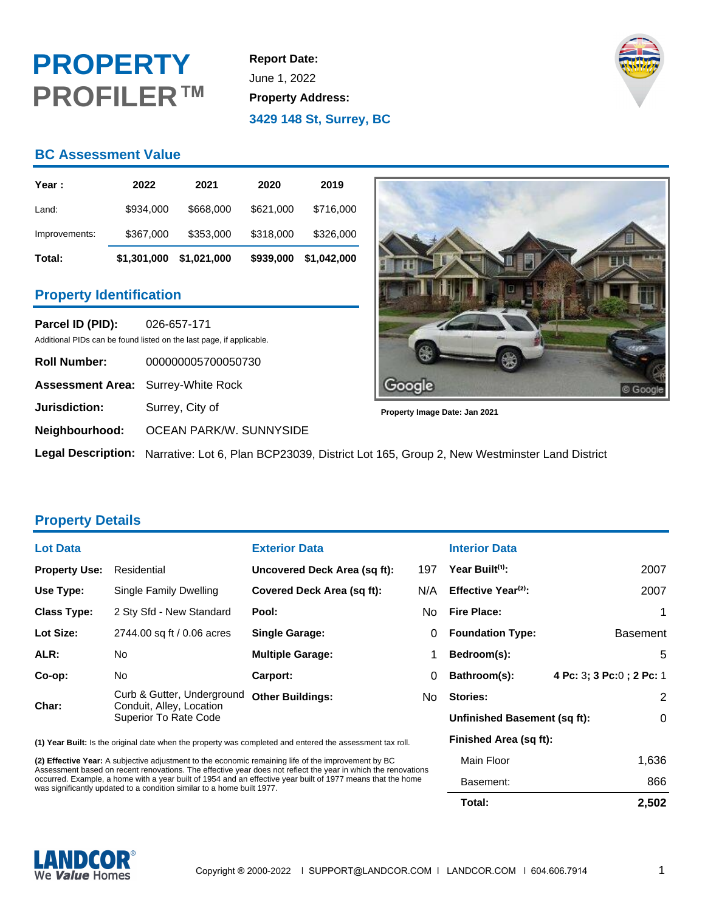# **PROPERTY PROFILER™**

**Report Date:** June 1, 2022 **Property Address: 3429 148 St, Surrey, BC**



## **BC Assessment Value**

| Year :        | 2022        | 2021        | 2020      | 2019        |
|---------------|-------------|-------------|-----------|-------------|
| Land:         | \$934,000   | \$668,000   | \$621,000 | \$716,000   |
| Improvements: | \$367,000   | \$353,000   | \$318,000 | \$326,000   |
| Total:        | \$1,301,000 | \$1,021,000 | \$939,000 | \$1,042,000 |

### **Property Identification**

**Parcel ID (PID):** 026-657-171 Additional PIDs can be found listed on the last page, if applicable.

| <b>Roll Number:</b>                       | 000000005700050730                                         |
|-------------------------------------------|------------------------------------------------------------|
| <b>Assessment Area:</b> Surrey-White Rock |                                                            |
| Jurisdiction:                             | Surrey, City of                                            |
|                                           | Neighbourhood: OCEAN PARK/W. SUNNYSIDE                     |
|                                           | Legal Description: Narrative: Lot 6, Plan BCP23039, Distri |



**Property Image Date: Jan 2021**

**Let Lot 165, Group 2, New Westminster Land District** 

### **Property Details**

| <b>Lot Data</b>      |                                                                                        | <b>Exterior Data</b>         |     |
|----------------------|----------------------------------------------------------------------------------------|------------------------------|-----|
| <b>Property Use:</b> | Residential                                                                            | Uncovered Deck Area (sq ft): | 197 |
| Use Type:            | Single Family Dwelling                                                                 | Covered Deck Area (sq ft):   | N/A |
| <b>Class Type:</b>   | 2 Sty Sfd - New Standard                                                               | Pool:                        | No  |
| Lot Size:            | 2744.00 sq ft / 0.06 acres                                                             | <b>Single Garage:</b>        | 0   |
| ALR:                 | No                                                                                     | <b>Multiple Garage:</b>      | 1   |
| Co-op:               | No.                                                                                    | Carport:                     | 0   |
| Char:                | Curb & Gutter, Underground<br>Conduit, Alley, Location<br><b>Superior To Rate Code</b> | <b>Other Buildings:</b>      | No  |

**(1) Year Built:** Is the original date when the property was completed and entered the assessment tax roll.

**(2) Effective Year:** A subjective adjustment to the economic remaining life of the improvement by BC Assessment based on recent renovations. The effective year does not reflect the year in which the renovations occurred. Example, a home with a year built of 1954 and an effective year built of 1977 means that the home was significantly updated to a condition similar to a home built 1977.

### **Interior Data**

| /A | Effective Year <sup>(2)</sup> : | 2007                      |
|----|---------------------------------|---------------------------|
| Jo | <b>Fire Place:</b>              | 1                         |
| 0  | <b>Foundation Type:</b>         | <b>Basement</b>           |
| 1  | Bedroom(s):                     | 5                         |
| 0  | Bathroom(s):                    | 4 Pc: 3; 3 Pc: 0; 2 Pc: 1 |
| ٩o | Stories:                        | 2                         |
|    | Unfinished Basement (sq ft):    | 0                         |
|    | Finished Area (sq ft):          |                           |
|    | Main Floor                      | 1,636                     |
|    | Basement:                       | 866                       |
|    | Total:                          | 2,502                     |